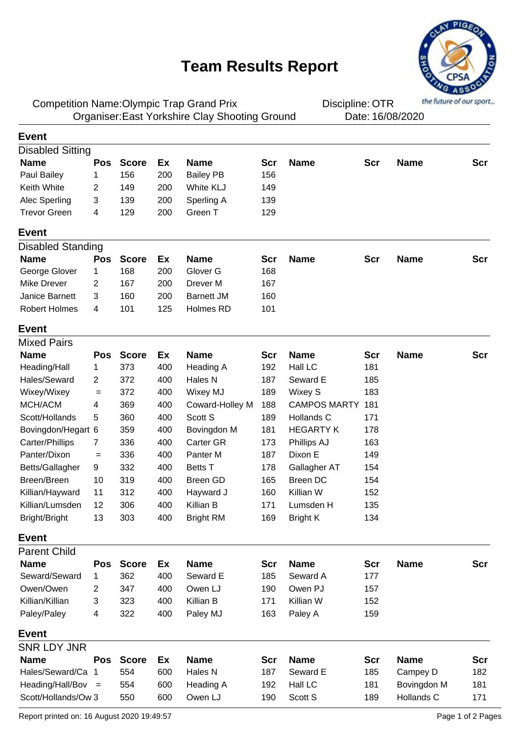## **Team Results Report**



Competition Name: Olympic Trap Grand Prix **Competition Competition**: OTR Organiser: East Yorkshire Clay Shooting Ground Date: 16/08/2020

Discipline: OTR

| <b>Event</b>             |                |              |     |                   |            |                     |            |             |            |
|--------------------------|----------------|--------------|-----|-------------------|------------|---------------------|------------|-------------|------------|
| <b>Disabled Sitting</b>  |                |              |     |                   |            |                     |            |             |            |
| <b>Name</b>              | <b>Pos</b>     | <b>Score</b> | Ex  | <b>Name</b>       | <b>Scr</b> | <b>Name</b>         | <b>Scr</b> | <b>Name</b> | <b>Scr</b> |
| Paul Bailey              | 1              | 156          | 200 | <b>Bailey PB</b>  | 156        |                     |            |             |            |
| Keith White              | $\overline{2}$ | 149          | 200 | White KLJ         | 149        |                     |            |             |            |
| Alec Sperling            | 3              | 139          | 200 | Sperling A        | 139        |                     |            |             |            |
| <b>Trevor Green</b>      | 4              | 129          | 200 | Green T           | 129        |                     |            |             |            |
| <b>Event</b>             |                |              |     |                   |            |                     |            |             |            |
| <b>Disabled Standing</b> |                |              |     |                   |            |                     |            |             |            |
| <b>Name</b>              | <b>Pos</b>     | <b>Score</b> | Ex  | <b>Name</b>       | Scr        | <b>Name</b>         | <b>Scr</b> | <b>Name</b> | Scr        |
| George Glover            | 1              | 168          | 200 | Glover G          | 168        |                     |            |             |            |
| Mike Drever              | 2              | 167          | 200 | Drever M          | 167        |                     |            |             |            |
| Janice Barnett           | 3              | 160          | 200 | <b>Barnett JM</b> | 160        |                     |            |             |            |
| <b>Robert Holmes</b>     | 4              | 101          | 125 | Holmes RD         | 101        |                     |            |             |            |
| <b>Event</b>             |                |              |     |                   |            |                     |            |             |            |
| <b>Mixed Pairs</b>       |                |              |     |                   |            |                     |            |             |            |
| <b>Name</b>              | <b>Pos</b>     | <b>Score</b> | Ex  | <b>Name</b>       | <b>Scr</b> | <b>Name</b>         | Scr        | <b>Name</b> | <b>Scr</b> |
| Heading/Hall             | 1              | 373          | 400 | Heading A         | 192        | Hall LC             | 181        |             |            |
| Hales/Seward             | $\overline{2}$ | 372          | 400 | Hales N           | 187        | Seward E            | 185        |             |            |
| Wixey/Wixey              | $=$            | 372          | 400 | <b>Wixey MJ</b>   | 189        | Wixey S             | 183        |             |            |
| MCH/ACM                  | 4              | 369          | 400 | Coward-Holley M   | 188        | <b>CAMPOS MARTY</b> | 181        |             |            |
| Scott/Hollands           | 5              | 360          | 400 | Scott S           | 189        | Hollands C          | 171        |             |            |
| Bovingdon/Hegart 6       |                | 359          | 400 | Bovingdon M       | 181        | <b>HEGARTY K</b>    | 178        |             |            |
| Carter/Phillips          | 7              | 336          | 400 | Carter GR         | 173        | Phillips AJ         | 163        |             |            |
| Panter/Dixon             | $=$            | 336          | 400 | Panter M          | 187        | Dixon E             | 149        |             |            |
| Betts/Gallagher          | 9              | 332          | 400 | <b>Betts T</b>    | 178        | Gallagher AT        | 154        |             |            |
| Breen/Breen              | 10             | 319          | 400 | <b>Breen GD</b>   | 165        | <b>Breen DC</b>     | 154        |             |            |
| Killian/Hayward          | 11             | 312          | 400 | Hayward J         | 160        | Killian W           | 152        |             |            |
| Killian/Lumsden          | 12             | 306          | 400 | Killian B         | 171        | Lumsden H           | 135        |             |            |
| Bright/Bright            | 13             | 303          | 400 | <b>Bright RM</b>  | 169        | <b>Bright K</b>     | 134        |             |            |
| <b>Event</b>             |                |              |     |                   |            |                     |            |             |            |
| <b>Parent Child</b>      |                |              |     |                   |            |                     |            |             |            |
| <b>Name</b>              | <b>Pos</b>     | <b>Score</b> | Ex  | <b>Name</b>       | Scr        | <b>Name</b>         | Scr        | <b>Name</b> | <b>Scr</b> |
| Seward/Seward            | 1              | 362          | 400 | Seward E          | 185        | Seward A            | 177        |             |            |
| Owen/Owen                | $\overline{2}$ | 347          | 400 | Owen LJ           | 190        | Owen PJ             | 157        |             |            |
| Killian/Killian          | 3              | 323          | 400 | Killian B         | 171        | Killian W           | 152        |             |            |
| Paley/Paley              | 4              | 322          | 400 | Paley MJ          | 163        | Paley A             | 159        |             |            |
| <b>Event</b>             |                |              |     |                   |            |                     |            |             |            |
| <b>SNR LDY JNR</b>       |                |              |     |                   |            |                     |            |             |            |
| <b>Name</b>              | <b>Pos</b>     | <b>Score</b> | Ex  | <b>Name</b>       | Scr        | <b>Name</b>         | <b>Scr</b> | <b>Name</b> | <b>Scr</b> |
| Hales/Seward/Ca          | -1             | 554          | 600 | Hales N           | 187        | Seward E            | 185        | Campey D    | 182        |
| Heading/Hall/Bov $=$     |                | 554          | 600 | Heading A         | 192        | Hall LC             | 181        | Bovingdon M | 181        |
| Scott/Hollands/Ow 3      |                | 550          | 600 | Owen LJ           | 190        | Scott S             | 189        | Hollands C  | 171        |